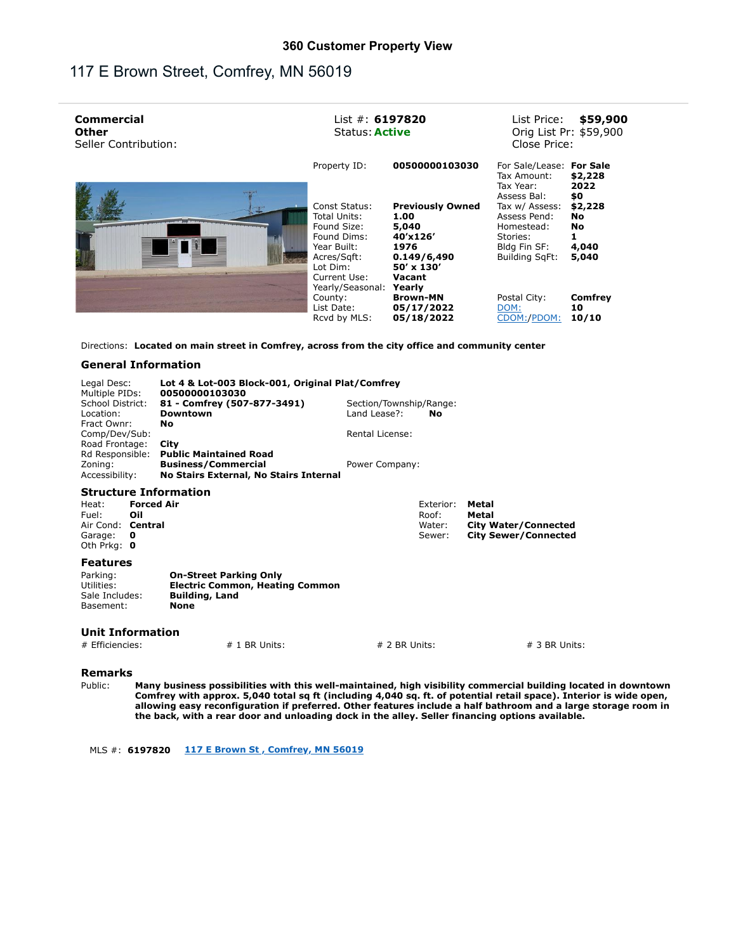## 117 E Brown Street, Comfrey, MN 56019

| <b>Commercial</b><br><b>Other</b><br>Seller Contribution: | List $#: 6197820$<br>\$59,900<br>List Price:<br>Orig List Pr: \$59,900<br><b>Status: Active</b><br>Close Price:           |
|-----------------------------------------------------------|---------------------------------------------------------------------------------------------------------------------------|
| Property ID:                                              | 00500000103030<br>For Sale/Lease:<br><b>For Sale</b><br>Tax Amount:<br>\$2,228<br>2022<br>Tax Year:<br>\$0<br>Assess Bal: |
| Const Status:<br>Total Units:                             | \$2,228<br><b>Previously Owned</b><br>Tax w/ Assess:<br>1.00<br>Assess Pend:<br>No                                        |
| Found Size:<br>Found Dims:                                | 5,040<br>No<br>Homestead:<br>40'x126'<br>Stories:<br>1976                                                                 |
| Year Built:<br>Acres/Sqft:<br>Lot Dim:                    | 4,040<br>Bldg Fin SF:<br>0.149/6,490<br><b>Building SgFt:</b><br>5,040<br>$50' \times 130'$                               |
| Current Use:<br>Yearly/Seasonal:                          | Vacant<br>Yearly                                                                                                          |
| County:<br>List Date:                                     | <b>Brown-MN</b><br>Postal City:<br>Comfrey<br>05/17/2022<br>10<br>DOM:                                                    |
| Rcvd by MLS:                                              | CDOM:/PDOM:<br>10/10<br>05/18/2022                                                                                        |

Directions: **Located on main street in Comfrey, across from the city office and community center**

## **General Information**

| Legal Desc:<br>Multiple PIDs:<br>School District:<br>Location:<br>Fract Ownr:<br>Comp/Dev/Sub:<br>Road Frontage:                      | Lot 4 & Lot-003 Block-001, Original Plat/Comfrey<br>00500000103030<br>81 - Comfrey (507-877-3491)<br>Downtown<br>No<br>City | Section/Township/Range:<br>Land Lease?:<br>No<br>Rental License: |                                                                              |
|---------------------------------------------------------------------------------------------------------------------------------------|-----------------------------------------------------------------------------------------------------------------------------|------------------------------------------------------------------|------------------------------------------------------------------------------|
| Rd Responsible:<br>Zoning:<br>Accessibility:                                                                                          | <b>Public Maintained Road</b><br><b>Business/Commercial</b><br>No Stairs External, No Stairs Internal                       | Power Company:                                                   |                                                                              |
| <b>Structure Information</b><br><b>Forced Air</b><br>Heat:<br>Fuel:<br>Oil<br>Air Cond: Central<br>Garage:<br>O<br>Oth Prkg: $\theta$ |                                                                                                                             | Exterior:<br>Roof:<br>Water:<br>Sewer:                           | Metal<br>Metal<br><b>City Water/Connected</b><br><b>City Sewer/Connected</b> |
| <b>Features</b><br>Parking:<br>Utilities:<br>Sale Includes:<br>Basement:                                                              | <b>On-Street Parking Only</b><br><b>Electric Common, Heating Common</b><br><b>Building, Land</b><br><b>None</b>             |                                                                  |                                                                              |
| <b>Unit Information</b><br># Efficiencies:                                                                                            | $# 1$ BR Units:                                                                                                             | $# 2 BR$ Units:                                                  | $# 3 BR$ Units:                                                              |

**Remarks**

Public: **Many business possibilities with this well-maintained, high visibility commercial building located in downtown Comfrey with approx. 5,040 total sq ft (including 4,040 sq. ft. of potential retail space). Interior is wide open, allowing easy reconfiguration if preferred. Other features include a half bathroom and a large storage room in the back, with a rear door and unloading dock in the alley. Seller financing options available.**

MLS #: **6197820 117 E Brown St , Comfrey, MN 56019**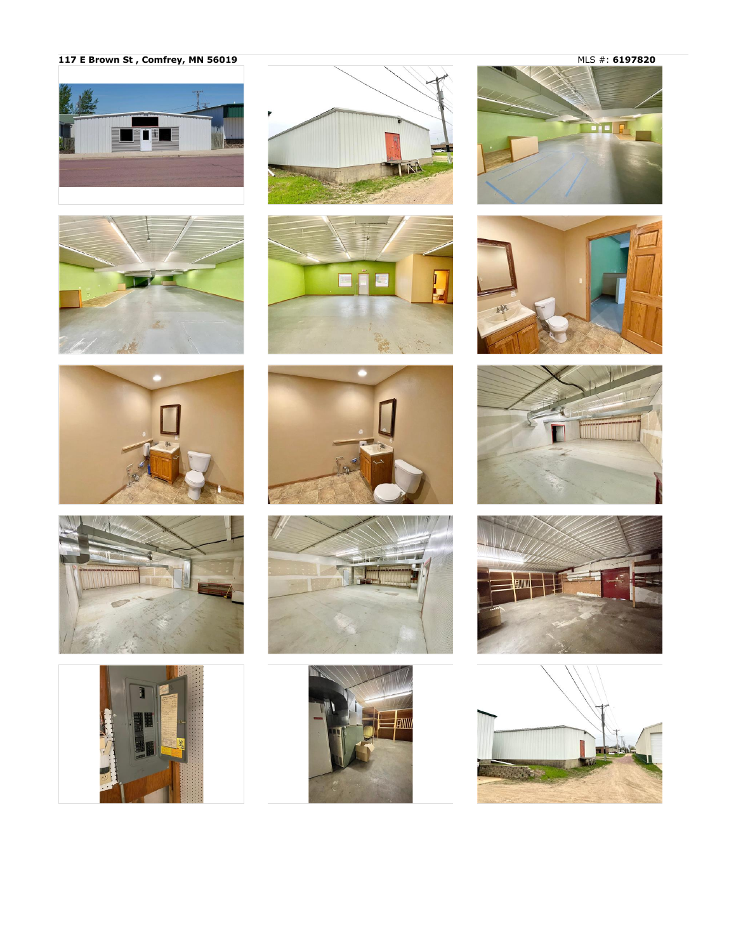117 E Brown St, Comfrey, MN 56019





















MLS #: 6197820